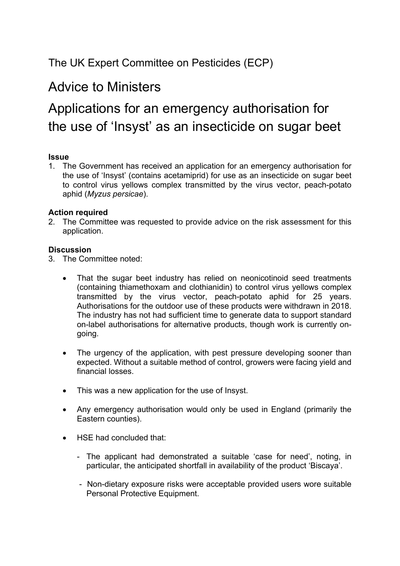### The UK Expert Committee on Pesticides (ECP)

## Advice to Ministers

# Applications for an emergency authorisation for the use of 'Insyst' as an insecticide on sugar beet

#### **Issue**

1. The Government has received an application for an emergency authorisation for the use of 'Insyst' (contains acetamiprid) for use as an insecticide on sugar beet to control virus yellows complex transmitted by the virus vector, peach-potato aphid (*Myzus persicae*).

#### **Action required**

2. The Committee was requested to provide advice on the risk assessment for this application.

#### **Discussion**

- 3. The Committee noted:
	- That the sugar beet industry has relied on neonicotinoid seed treatments (containing thiamethoxam and clothianidin) to control virus yellows complex transmitted by the virus vector, peach-potato aphid for 25 years. Authorisations for the outdoor use of these products were withdrawn in 2018. The industry has not had sufficient time to generate data to support standard on-label authorisations for alternative products, though work is currently ongoing.
	- The urgency of the application, with pest pressure developing sooner than expected. Without a suitable method of control, growers were facing yield and financial losses.
	- This was a new application for the use of Insyst.
	- Any emergency authorisation would only be used in England (primarily the Eastern counties).
	- HSE had concluded that:
		- The applicant had demonstrated a suitable 'case for need', noting, in particular, the anticipated shortfall in availability of the product 'Biscaya'.
		- Non-dietary exposure risks were acceptable provided users wore suitable Personal Protective Equipment.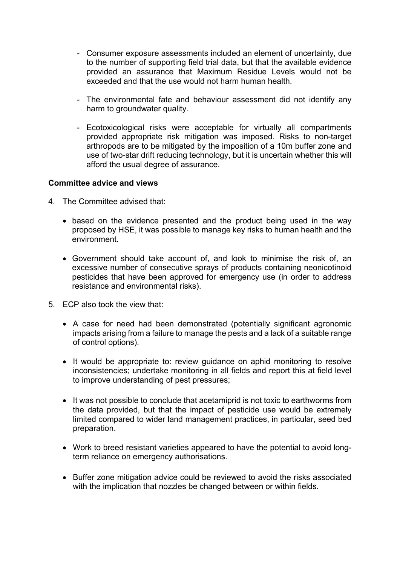- Consumer exposure assessments included an element of uncertainty, due to the number of supporting field trial data, but that the available evidence provided an assurance that Maximum Residue Levels would not be exceeded and that the use would not harm human health.
- The environmental fate and behaviour assessment did not identify any harm to groundwater quality.
- Ecotoxicological risks were acceptable for virtually all compartments provided appropriate risk mitigation was imposed. Risks to non-target arthropods are to be mitigated by the imposition of a 10m buffer zone and use of two-star drift reducing technology, but it is uncertain whether this will afford the usual degree of assurance.

#### **Committee advice and views**

- 4. The Committee advised that:
	- based on the evidence presented and the product being used in the way proposed by HSE, it was possible to manage key risks to human health and the environment.
	- Government should take account of, and look to minimise the risk of, an excessive number of consecutive sprays of products containing neonicotinoid pesticides that have been approved for emergency use (in order to address resistance and environmental risks).
- 5. ECP also took the view that:
	- A case for need had been demonstrated (potentially significant agronomic impacts arising from a failure to manage the pests and a lack of a suitable range of control options).
	- It would be appropriate to: review guidance on aphid monitoring to resolve inconsistencies; undertake monitoring in all fields and report this at field level to improve understanding of pest pressures;
	- It was not possible to conclude that acetamiprid is not toxic to earthworms from the data provided, but that the impact of pesticide use would be extremely limited compared to wider land management practices, in particular, seed bed preparation.
	- Work to breed resistant varieties appeared to have the potential to avoid longterm reliance on emergency authorisations.
	- Buffer zone mitigation advice could be reviewed to avoid the risks associated with the implication that nozzles be changed between or within fields.